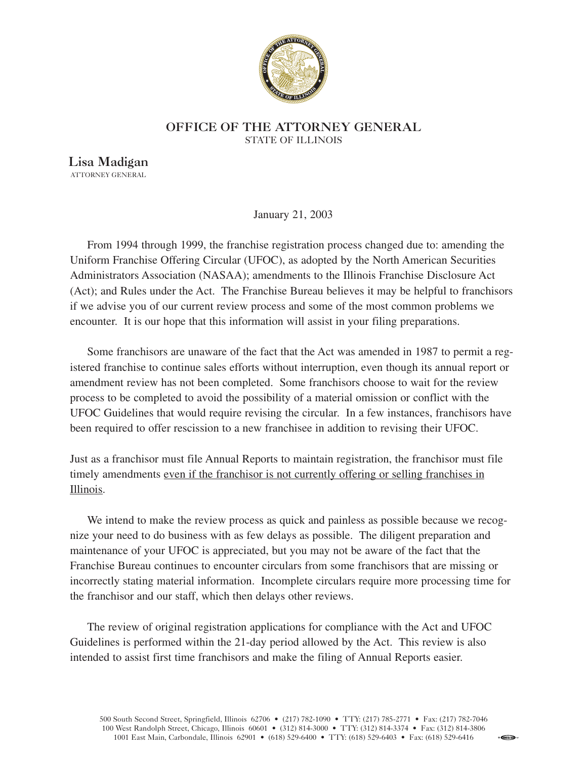

## **OFFICE OF THE ATTORNEY GENERAL** STATE OF ILLINOIS

**Lisa Madigan** ATTORNEY GENERAL

January 21, 2003

From 1994 through 1999, the franchise registration process changed due to: amending the Uniform Franchise Offering Circular (UFOC), as adopted by the North American Securities Administrators Association (NASAA); amendments to the Illinois Franchise Disclosure Act (Act); and Rules under the Act. The Franchise Bureau believes it may be helpful to franchisors if we advise you of our current review process and some of the most common problems we encounter. It is our hope that this information will assist in your filing preparations.

Some franchisors are unaware of the fact that the Act was amended in 1987 to permit a registered franchise to continue sales efforts without interruption, even though its annual report or amendment review has not been completed. Some franchisors choose to wait for the review process to be completed to avoid the possibility of a material omission or conflict with the UFOC Guidelines that would require revising the circular. In a few instances, franchisors have been required to offer rescission to a new franchisee in addition to revising their UFOC.

Just as a franchisor must file Annual Reports to maintain registration, the franchisor must file timely amendments even if the franchisor is not currently offering or selling franchises in Illinois.

We intend to make the review process as quick and painless as possible because we recognize your need to do business with as few delays as possible. The diligent preparation and maintenance of your UFOC is appreciated, but you may not be aware of the fact that the Franchise Bureau continues to encounter circulars from some franchisors that are missing or incorrectly stating material information. Incomplete circulars require more processing time for the franchisor and our staff, which then delays other reviews.

The review of original registration applications for compliance with the Act and UFOC Guidelines is performed within the 21-day period allowed by the Act. This review is also intended to assist first time franchisors and make the filing of Annual Reports easier.

**EnGCLIP**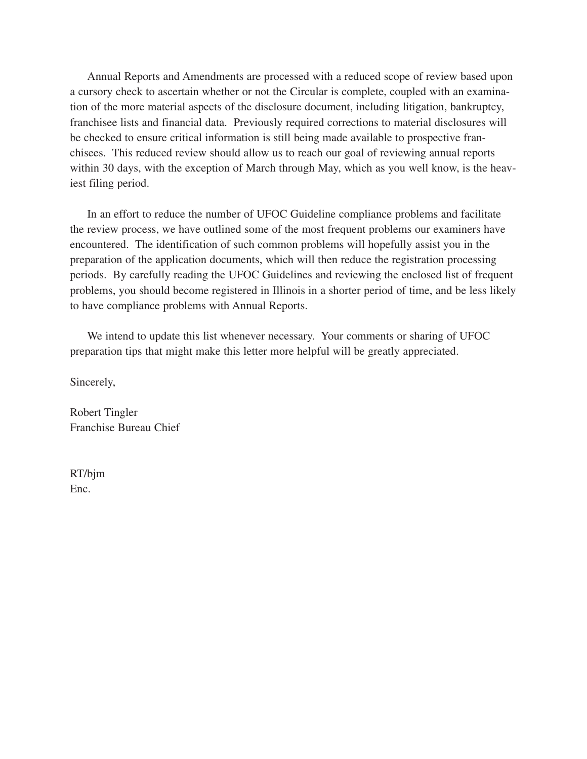Annual Reports and Amendments are processed with a reduced scope of review based upon a cursory check to ascertain whether or not the Circular is complete, coupled with an examination of the more material aspects of the disclosure document, including litigation, bankruptcy, franchisee lists and financial data. Previously required corrections to material disclosures will be checked to ensure critical information is still being made available to prospective franchisees. This reduced review should allow us to reach our goal of reviewing annual reports within 30 days, with the exception of March through May, which as you well know, is the heaviest filing period.

In an effort to reduce the number of UFOC Guideline compliance problems and facilitate the review process, we have outlined some of the most frequent problems our examiners have encountered. The identification of such common problems will hopefully assist you in the preparation of the application documents, which will then reduce the registration processing periods. By carefully reading the UFOC Guidelines and reviewing the enclosed list of frequent problems, you should become registered in Illinois in a shorter period of time, and be less likely to have compliance problems with Annual Reports.

We intend to update this list whenever necessary. Your comments or sharing of UFOC preparation tips that might make this letter more helpful will be greatly appreciated.

Sincerely,

Robert Tingler Franchise Bureau Chief

RT/bjm Enc.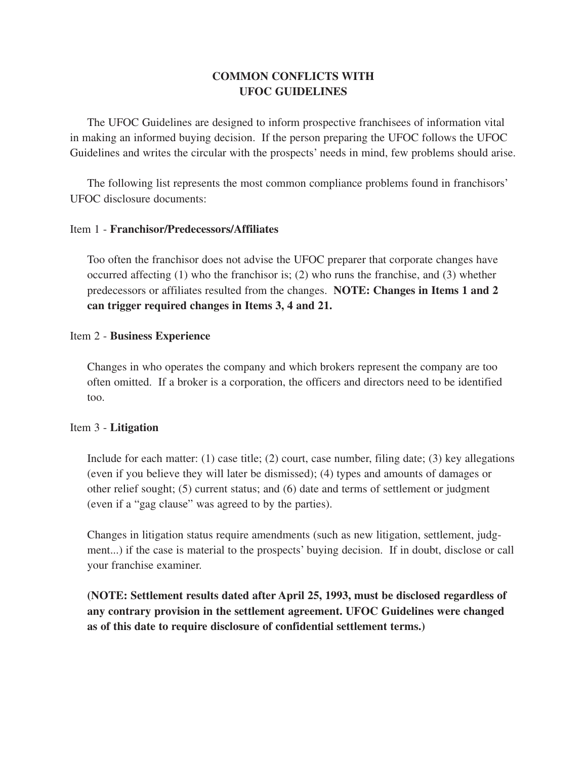# **COMMON CONFLICTS WITH UFOC GUIDELINES**

The UFOC Guidelines are designed to inform prospective franchisees of information vital in making an informed buying decision. If the person preparing the UFOC follows the UFOC Guidelines and writes the circular with the prospects' needs in mind, few problems should arise.

The following list represents the most common compliance problems found in franchisors' UFOC disclosure documents:

## Item 1 - **Franchisor/Predecessors/Affiliates**

Too often the franchisor does not advise the UFOC preparer that corporate changes have occurred affecting (1) who the franchisor is; (2) who runs the franchise, and (3) whether predecessors or affiliates resulted from the changes. **NOTE: Changes in Items 1 and 2 can trigger required changes in Items 3, 4 and 21.**

#### Item 2 - **Business Experience**

Changes in who operates the company and which brokers represent the company are too often omitted. If a broker is a corporation, the officers and directors need to be identified too.

## Item 3 - **Litigation**

Include for each matter: (1) case title; (2) court, case number, filing date; (3) key allegations (even if you believe they will later be dismissed); (4) types and amounts of damages or other relief sought; (5) current status; and (6) date and terms of settlement or judgment (even if a "gag clause" was agreed to by the parties).

Changes in litigation status require amendments (such as new litigation, settlement, judgment...) if the case is material to the prospects' buying decision. If in doubt, disclose or call your franchise examiner.

**(NOTE: Settlement results dated after April 25, 1993, must be disclosed regardless of any contrary provision in the settlement agreement. UFOC Guidelines were changed as of this date to require disclosure of confidential settlement terms.)**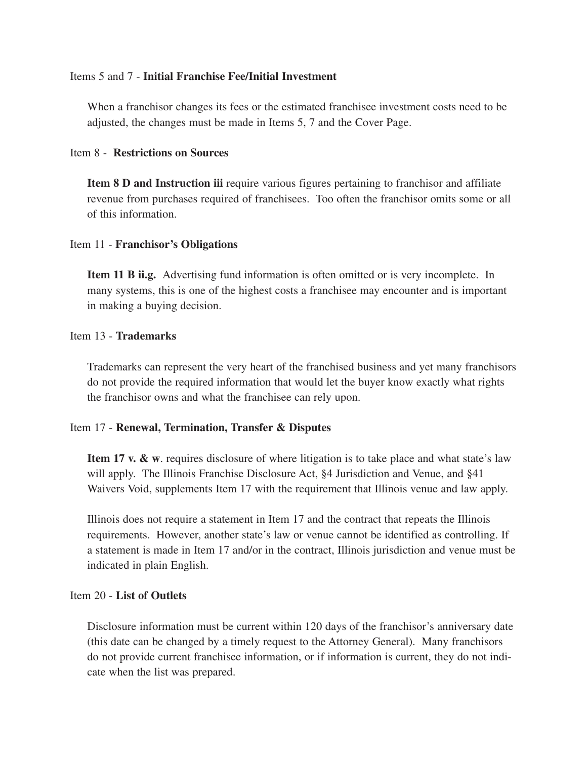#### Items 5 and 7 - **Initial Franchise Fee/Initial Investment**

When a franchisor changes its fees or the estimated franchisee investment costs need to be adjusted, the changes must be made in Items 5, 7 and the Cover Page.

## Item 8 - **Restrictions on Sources**

**Item 8 D and Instruction iii** require various figures pertaining to franchisor and affiliate revenue from purchases required of franchisees. Too often the franchisor omits some or all of this information.

#### Item 11 - **Franchisor's Obligations**

**Item 11 B ii.g.** Advertising fund information is often omitted or is very incomplete. In many systems, this is one of the highest costs a franchisee may encounter and is important in making a buying decision.

#### Item 13 - **Trademarks**

Trademarks can represent the very heart of the franchised business and yet many franchisors do not provide the required information that would let the buyer know exactly what rights the franchisor owns and what the franchisee can rely upon.

## Item 17 - **Renewal, Termination, Transfer & Disputes**

**Item 17 v. & w.** requires disclosure of where litigation is to take place and what state's law will apply. The Illinois Franchise Disclosure Act, §4 Jurisdiction and Venue, and §41 Waivers Void, supplements Item 17 with the requirement that Illinois venue and law apply.

Illinois does not require a statement in Item 17 and the contract that repeats the Illinois requirements. However, another state's law or venue cannot be identified as controlling. If a statement is made in Item 17 and/or in the contract, Illinois jurisdiction and venue must be indicated in plain English.

## Item 20 - **List of Outlets**

Disclosure information must be current within 120 days of the franchisor's anniversary date (this date can be changed by a timely request to the Attorney General). Many franchisors do not provide current franchisee information, or if information is current, they do not indicate when the list was prepared.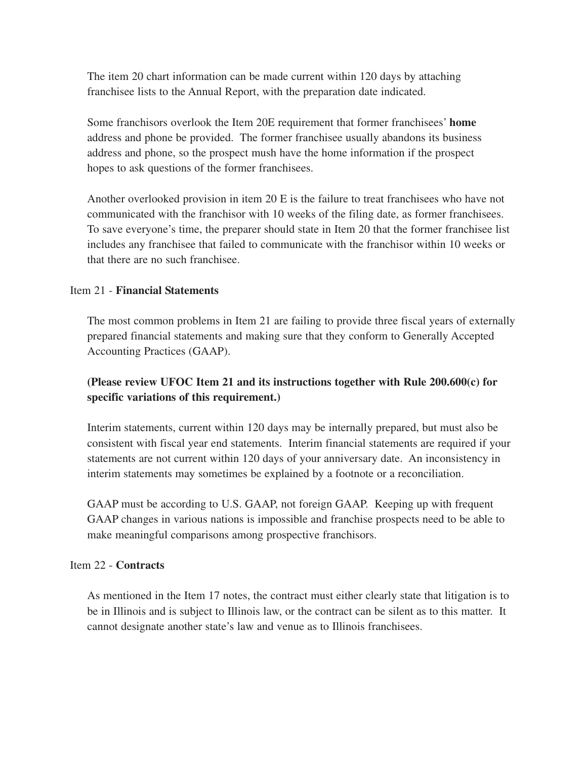The item 20 chart information can be made current within 120 days by attaching franchisee lists to the Annual Report, with the preparation date indicated.

Some franchisors overlook the Item 20E requirement that former franchisees' **home** address and phone be provided. The former franchisee usually abandons its business address and phone, so the prospect mush have the home information if the prospect hopes to ask questions of the former franchisees.

Another overlooked provision in item 20 E is the failure to treat franchisees who have not communicated with the franchisor with 10 weeks of the filing date, as former franchisees. To save everyone's time, the preparer should state in Item 20 that the former franchisee list includes any franchisee that failed to communicate with the franchisor within 10 weeks or that there are no such franchisee.

## Item 21 - **Financial Statements**

The most common problems in Item 21 are failing to provide three fiscal years of externally prepared financial statements and making sure that they conform to Generally Accepted Accounting Practices (GAAP).

# **(Please review UFOC Item 21 and its instructions together with Rule 200.600(c) for specific variations of this requirement.)**

Interim statements, current within 120 days may be internally prepared, but must also be consistent with fiscal year end statements. Interim financial statements are required if your statements are not current within 120 days of your anniversary date. An inconsistency in interim statements may sometimes be explained by a footnote or a reconciliation.

GAAP must be according to U.S. GAAP, not foreign GAAP. Keeping up with frequent GAAP changes in various nations is impossible and franchise prospects need to be able to make meaningful comparisons among prospective franchisors.

## Item 22 - **Contracts**

As mentioned in the Item 17 notes, the contract must either clearly state that litigation is to be in Illinois and is subject to Illinois law, or the contract can be silent as to this matter. It cannot designate another state's law and venue as to Illinois franchisees.